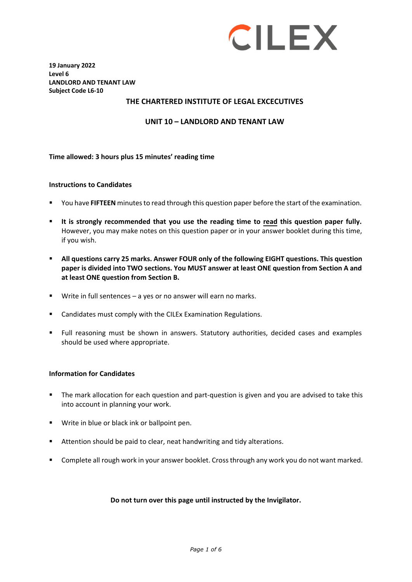

**19 January 2022 Level 6 LANDLORD AND TENANT LAW Subject Code L6-10**

#### **THE CHARTERED INSTITUTE OF LEGAL EXCECUTIVES**

**UNIT 10 – LANDLORD AND TENANT LAW**

**Time allowed: 3 hours plus 15 minutes' reading time**

#### **Instructions to Candidates**

- You have **FIFTEEN** minutesto read through this question paper before the start of the examination.
- **It is strongly recommended that you use the reading time to read this question paper fully.** However, you may make notes on this question paper or in your answer booklet during this time, if you wish.
- **All questions carry 25 marks. Answer FOUR only of the following EIGHT questions. This question paper is divided into TWO sections. You MUST answer at least ONE question from Section A and at least ONE question from Section B.**
- Write in full sentences a yes or no answer will earn no marks.
- Candidates must comply with the CILEx Examination Regulations.
- Full reasoning must be shown in answers. Statutory authorities, decided cases and examples should be used where appropriate.

#### **Information for Candidates**

- The mark allocation for each question and part-question is given and you are advised to take this into account in planning your work.
- **Write in blue or black ink or ballpoint pen.**
- **Attention should be paid to clear, neat handwriting and tidy alterations.**
- Complete all rough work in your answer booklet. Cross through any work you do not want marked.

#### **Do not turn over this page until instructed by the Invigilator.**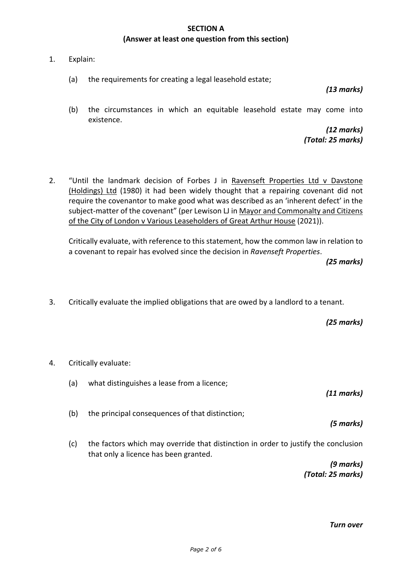### **SECTION A (Answer at least one question from this section)**

- 1. Explain:
	- (a) the requirements for creating a legal leasehold estate;

#### *(13 marks)*

(b) the circumstances in which an equitable leasehold estate may come into existence.

> *(12 marks) (Total: 25 marks)*

2. "Until the landmark decision of Forbes J in Ravenseft Properties Ltd v Davstone (Holdings) Ltd (1980) it had been widely thought that a repairing covenant did not require the covenantor to make good what was described as an 'inherent defect' in the subject-matter of the covenant" (per Lewison LJ in Mayor and Commonalty and Citizens of the City of London v Various Leaseholders of Great Arthur House (2021)).

Critically evaluate, with reference to this statement, how the common law in relation to a covenant to repair has evolved since the decision in *Ravenseft Properties*.

*(25 marks)*

3. Critically evaluate the implied obligations that are owed by a landlord to a tenant.

*(25 marks)*

- 4. Critically evaluate:
	- (a) what distinguishes a lease from a licence;

*(11 marks)*

(b) the principal consequences of that distinction;

*(5 marks)*

(c) the factors which may override that distinction in order to justify the conclusion that only a licence has been granted.

> *(9 marks) (Total: 25 marks)*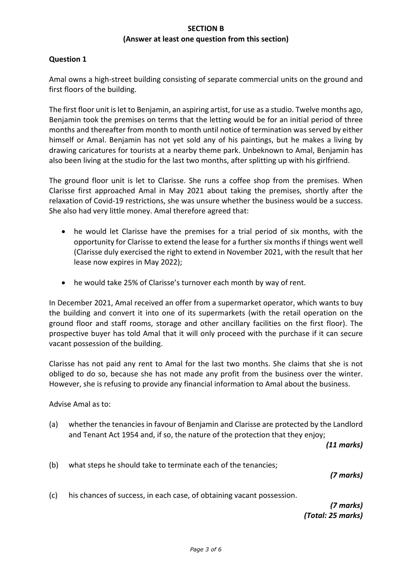## **SECTION B (Answer at least one question from this section)**

## **Question 1**

Amal owns a high-street building consisting of separate commercial units on the ground and first floors of the building.

The first floor unit is let to Benjamin, an aspiring artist, for use as a studio. Twelve months ago, Benjamin took the premises on terms that the letting would be for an initial period of three months and thereafter from month to month until notice of termination was served by either himself or Amal. Benjamin has not yet sold any of his paintings, but he makes a living by drawing caricatures for tourists at a nearby theme park. Unbeknown to Amal, Benjamin has also been living at the studio for the last two months, after splitting up with his girlfriend.

The ground floor unit is let to Clarisse. She runs a coffee shop from the premises. When Clarisse first approached Amal in May 2021 about taking the premises, shortly after the relaxation of Covid-19 restrictions, she was unsure whether the business would be a success. She also had very little money. Amal therefore agreed that:

- he would let Clarisse have the premises for a trial period of six months, with the opportunity for Clarisse to extend the lease for a further six months if things went well (Clarisse duly exercised the right to extend in November 2021, with the result that her lease now expires in May 2022);
- he would take 25% of Clarisse's turnover each month by way of rent.

In December 2021, Amal received an offer from a supermarket operator, which wants to buy the building and convert it into one of its supermarkets (with the retail operation on the ground floor and staff rooms, storage and other ancillary facilities on the first floor). The prospective buyer has told Amal that it will only proceed with the purchase if it can secure vacant possession of the building.

Clarisse has not paid any rent to Amal for the last two months. She claims that she is not obliged to do so, because she has not made any profit from the business over the winter. However, she is refusing to provide any financial information to Amal about the business.

Advise Amal as to:

(a) whether the tenancies in favour of Benjamin and Clarisse are protected by the Landlord and Tenant Act 1954 and, if so, the nature of the protection that they enjoy;

*(11 marks)*

(b) what steps he should take to terminate each of the tenancies;

*(7 marks)*

(c) his chances of success, in each case, of obtaining vacant possession.

*(7 marks) (Total: 25 marks)*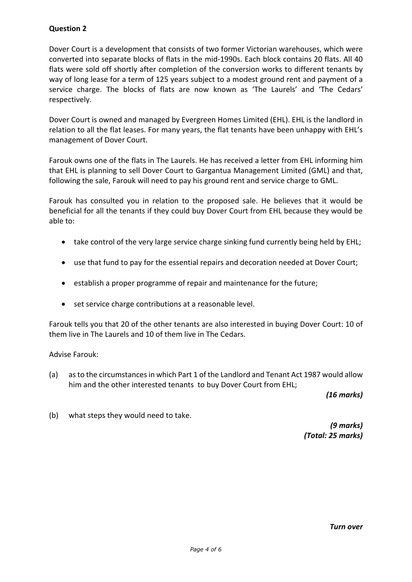# **Question 2**

Dover Court is a development that consists of two former Victorian warehouses, which were converted into separate blocks of flats in the mid-1990s. Each block contains 20 flats. All 40 flats were sold off shortly after completion of the conversion works to different tenants by way of long lease for a term of 125 years subject to a modest ground rent and payment of a service charge. The blocks of flats are now known as 'The Laurels' and 'The Cedars' respectively.

Dover Court is owned and managed by Evergreen Homes Limited (EHL). EHL is the landlord in relation to all the flat leases. For many years, the flat tenants have been unhappy with EHL's management of Dover Court.

Farouk owns one of the flats in The Laurels. He has received a letter from EHL informing him that EHL is planning to sell Dover Court to Gargantua Management Limited (GML) and that, following the sale, Farouk will need to pay his ground rent and service charge to GML.

Farouk has consulted you in relation to the proposed sale. He believes that it would be beneficial for all the tenants if they could buy Dover Court from EHL because they would be able to:

- take control of the very large service charge sinking fund currently being held by EHL;
- use that fund to pay for the essential repairs and decoration needed at Dover Court;
- establish a proper programme of repair and maintenance for the future;
- set service charge contributions at a reasonable level.

Farouk tells you that 20 of the other tenants are also interested in buying Dover Court: 10 of them live in The Laurels and 10 of them live in The Cedars.

Advise Farouk:

(a) as to the circumstances in which Part 1 of the Landlord and Tenant Act 1987 would allow him and the other interested tenants to buy Dover Court from EHL;

*(16 marks)*

(b) what steps they would need to take.

*(9 marks) (Total: 25 marks)*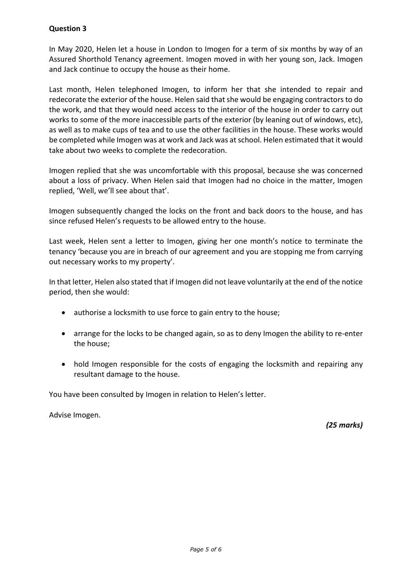# **Question 3**

In May 2020, Helen let a house in London to Imogen for a term of six months by way of an Assured Shorthold Tenancy agreement. Imogen moved in with her young son, Jack. Imogen and Jack continue to occupy the house as their home.

Last month, Helen telephoned Imogen, to inform her that she intended to repair and redecorate the exterior of the house. Helen said that she would be engaging contractors to do the work, and that they would need access to the interior of the house in order to carry out works to some of the more inaccessible parts of the exterior (by leaning out of windows, etc), as well as to make cups of tea and to use the other facilities in the house. These works would be completed while Imogen was at work and Jack was at school. Helen estimated that it would take about two weeks to complete the redecoration.

Imogen replied that she was uncomfortable with this proposal, because she was concerned about a loss of privacy. When Helen said that Imogen had no choice in the matter, Imogen replied, 'Well, we'll see about that'.

Imogen subsequently changed the locks on the front and back doors to the house, and has since refused Helen's requests to be allowed entry to the house.

Last week, Helen sent a letter to Imogen, giving her one month's notice to terminate the tenancy 'because you are in breach of our agreement and you are stopping me from carrying out necessary works to my property'.

In that letter, Helen also stated that if Imogen did not leave voluntarily at the end of the notice period, then she would:

- authorise a locksmith to use force to gain entry to the house;
- arrange for the locks to be changed again, so as to deny Imogen the ability to re-enter the house;
- hold Imogen responsible for the costs of engaging the locksmith and repairing any resultant damage to the house.

You have been consulted by Imogen in relation to Helen's letter.

Advise Imogen.

*(25 marks)*